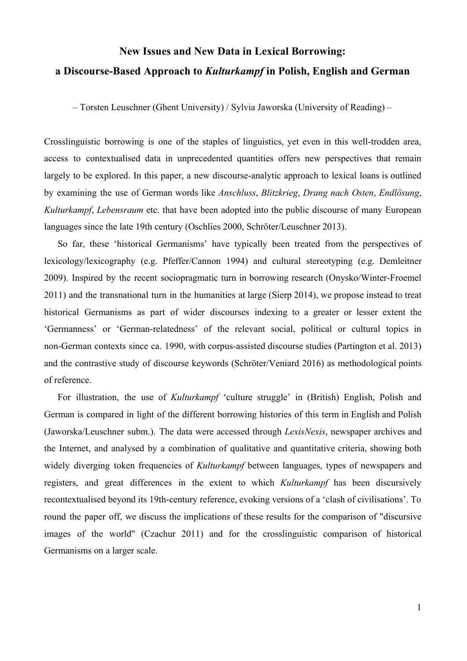## **New Issues and New Data in Lexical Borrowing:**

## a Discourse-Based Approach to *Kulturkampf* in Polish, English and German

– Torsten Leuschner (Ghent University) / Sylvia Jaworska (University of Reading) –

Crosslinguistic borrowing is one of the staples of linguistics, yet even in this well-trodden area, access to contextualised data in unprecedented quantities offers new perspectives that remain largely to be explored. In this paper, a new discourse-analytic approach to lexical loans is outlined by examining the use of German words like *Anschluss*, *Blitzkrieg*, *Drang nach Osten*, *Endlösung*, *Kulturkampf*, *Lebensraum* etc. that have been adopted into the public discourse of many European languages since the late 19th century (Oschlies 2000, Schröter/Leuschner 2013).

So far, these 'historical Germanisms' have typically been treated from the perspectives of lexicology/lexicography (e.g. Pfeffer/Cannon 1994) and cultural stereotyping (e.g. Demleitner 2009). Inspired by the recent sociopragmatic turn in borrowing research (Onysko/Winter-Froemel 2011) and the transnational turn in the humanities at large (Sierp 2014), we propose instead to treat historical Germanisms as part of wider discourses indexing to a greater or lesser extent the 'Germanness' or 'German-relatedness' of the relevant social, political or cultural topics in non-German contexts since ca. 1990, with corpus-assisted discourse studies (Partington et al. 2013) and the contrastive study of discourse keywords (Schröter/Veniard 2016) as methodological points of reference.

For illustration, the use of *Kulturkampf* 'culture struggle' in (British) English, Polish and German is compared in light of the different borrowing histories of this term in English and Polish (Jaworska/Leuschner subm.). The data were accessed through *LexisNexis*, newspaper archives and the Internet, and analysed by a combination of qualitative and quantitative criteria, showing both widely diverging token frequencies of *Kulturkampf* between languages, types of newspapers and registers, and great differences in the extent to which *Kulturkampf* has been discursively recontextualised beyond its 19th-century reference, evoking versions of a 'clash of civilisations'. To round the paper off, we discuss the implications of these results for the comparison of "discursive images of the world" (Czachur 2011) and for the crosslinguistic comparison of historical Germanisms on a larger scale.